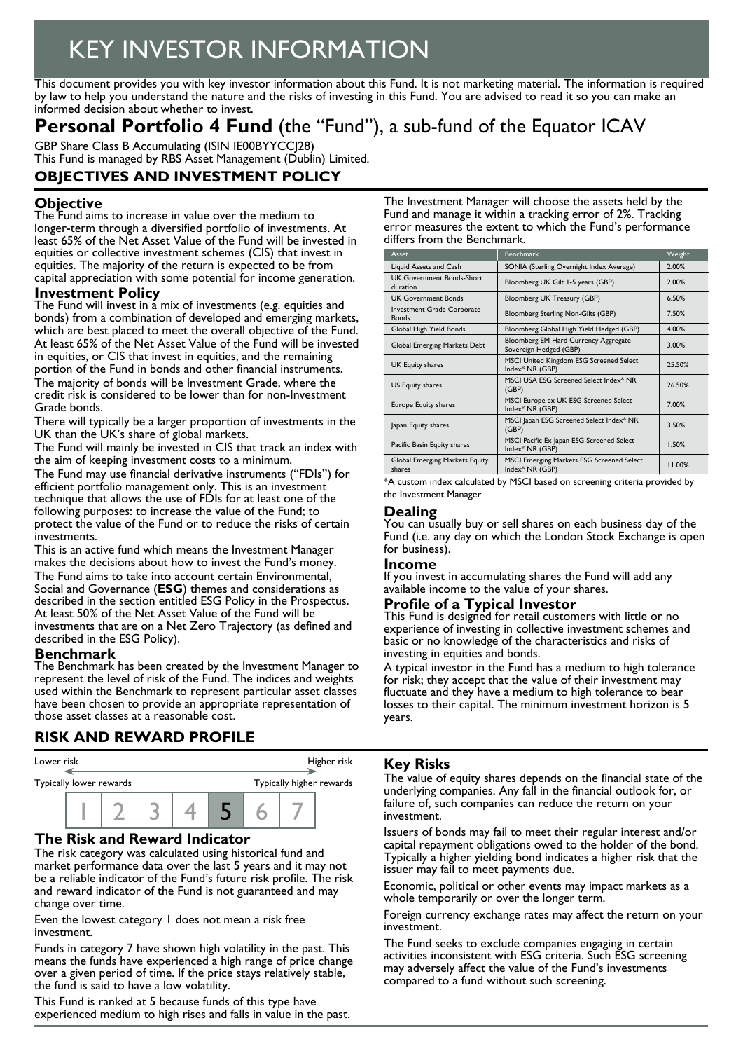# KEY INVESTOR INFORMATION

This document provides you with key investor information about this Fund. It is not marketing material. The information is required by law to help you understand the nature and the risks of investing in this Fund. You are advised to read it so you can make an informed decision about whether to invest.

## **Personal Portfolio 4 Fund** (the "Fund"), a sub-fund of the Equator ICAV

GBP Share Class B Accumulating (ISIN IE00BYYCCJ28) This Fund is managed by RBS Asset Management (Dublin) Limited.

## **OBJECTIVES AND INVESTMENT POLICY**

## **Objective**

The Fund aims to increase in value over the medium to longer-term through a diversified portfolio of investments. At least 65% of the Net Asset Value of the Fund will be invested in equities or collective investment schemes (CIS) that invest in equities. The majority of the return is expected to be from capital appreciation with some potential for income generation.

#### **Investment Policy**

The Fund will invest in a mix of investments (e.g. equities and bonds) from a combination of developed and emerging markets, which are best placed to meet the overall objective of the Fund. At least 65% of the Net Asset Value of the Fund will be invested in equities, or CIS that invest in equities, and the remaining portion of the Fund in bonds and other financial instruments. The majority of bonds will be Investment Grade, where the credit risk is considered to be lower than for non-Investment Grade bonds.

There will typically be a larger proportion of investments in the UK than the UK's share of global markets.

The Fund will mainly be invested in CIS that track an index with the aim of keeping investment costs to a minimum.

The Fund may use financial derivative instruments ("FDIs") for efficient portfolio management only. This is an investment technique that allows the use of FDIs for at least one of the following purposes: to increase the value of the Fund; to protect the value of the Fund or to reduce the risks of certain investments.

This is an active fund which means the Investment Manager makes the decisions about how to invest the Fund's money. The Fund aims to take into account certain Environmental, Social and Governance (**ESG**) themes and considerations as described in the section entitled ESG Policy in the Prospectus. At least 50% of the Net Asset Value of the Fund will be investments that are on a Net Zero Trajectory (as defined and described in the ESG Policy).

#### **Benchmark**

The Benchmark has been created by the Investment Manager to represent the level of risk of the Fund. The indices and weights used within the Benchmark to represent particular asset classes have been chosen to provide an appropriate representation of those asset classes at a reasonable cost.

## **RISK AND REWARD PROFILE**



### **The Risk and Reward Indicator**

The risk category was calculated using historical fund and market performance data over the last 5 years and it may not be a reliable indicator of the Fund's future risk profile. The risk and reward indicator of the Fund is not guaranteed and may change over time.

Even the lowest category 1 does not mean a risk free investment.

Funds in category 7 have shown high volatility in the past. This means the funds have experienced a high range of price change over a given period of time. If the price stays relatively stable, the fund is said to have a low volatility.

This Fund is ranked at 5 because funds of this type have experienced medium to high rises and falls in value in the past. The Investment Manager will choose the assets held by the Fund and manage it within a tracking error of 2%. Tracking error measures the extent to which the Fund's performance differs from the Benchmark.

| Asset                                        | <b>Benchmark</b>                                               | Weight |
|----------------------------------------------|----------------------------------------------------------------|--------|
| Liquid Assets and Cash                       | SONIA (Sterling Overnight Index Average)                       | 2.00%  |
| <b>UK Government Bonds-Short</b><br>duration | Bloomberg UK Gilt 1-5 years (GBP)                              | 2.00%  |
| <b>UK Government Bonds</b>                   | Bloomberg UK Treasury (GBP)                                    | 6.50%  |
| Investment Grade Corporate<br><b>Bonds</b>   | Bloomberg Sterling Non-Gilts (GBP)                             | 7.50%  |
| Global High Yield Bonds                      | Bloomberg Global High Yield Hedged (GBP)                       | 4.00%  |
| Global Emerging Markets Debt                 | Bloomberg EM Hard Currency Aggregate<br>Sovereign Hedged (GBP) | 3.00%  |
| UK Equity shares                             | MSCI United Kingdom ESG Screened Select<br>Index* NR (GBP)     | 25.50% |
| US Equity shares                             | MSCI USA ESG Screened Select Index* NR<br>(GBP)                | 26.50% |
| Europe Equity shares                         | MSCI Europe ex UK ESG Screened Select<br>Index* NR (GBP)       | 7.00%  |
| Japan Equity shares                          | MSCI Japan ESG Screened Select Index* NR<br>(GBP)              | 3.50%  |
| Pacific Basin Equity shares                  | MSCI Pacific Ex Japan ESG Screened Select<br>Index* NR (GBP)   | 1.50%  |
| Global Emerging Markets Equity<br>shares     | MSCI Emerging Markets ESG Screened Select<br>Index* NR (GBP)   | 11.00% |

\*A custom index calculated by MSCI based on screening criteria provided by the Investment Manager

#### **Dealing**

You can usually buy or sell shares on each business day of the Fund (i.e. any day on which the London Stock Exchange is open for business).

#### **Income**

If you invest in accumulating shares the Fund will add any available income to the value of your shares.

#### **Profile of a Typical Investor**

This Fund is designed for retail customers with little or no experience of investing in collective investment schemes and basic or no knowledge of the characteristics and risks of investing in equities and bonds.

A typical investor in the Fund has a medium to high tolerance for risk; they accept that the value of their investment may fluctuate and they have a medium to high tolerance to bear losses to their capital. The minimum investment horizon is 5 years.

#### **Key Risks**

The value of equity shares depends on the financial state of the underlying companies. Any fall in the financial outlook for, or failure of, such companies can reduce the return on your investment.

Issuers of bonds may fail to meet their regular interest and/or capital repayment obligations owed to the holder of the bond. Typically a higher yielding bond indicates a higher risk that the issuer may fail to meet payments due.

Economic, political or other events may impact markets as a whole temporarily or over the longer term.

Foreign currency exchange rates may affect the return on your investment.

The Fund seeks to exclude companies engaging in certain activities inconsistent with ESG criteria. Such ESG screening may adversely affect the value of the Fund's investments compared to a fund without such screening.